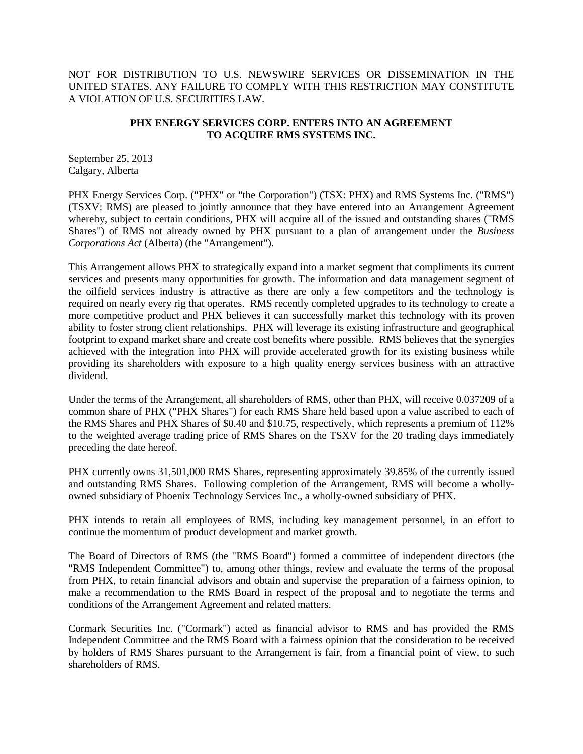NOT FOR DISTRIBUTION TO U.S. NEWSWIRE SERVICES OR DISSEMINATION IN THE UNITED STATES. ANY FAILURE TO COMPLY WITH THIS RESTRICTION MAY CONSTITUTE A VIOLATION OF U.S. SECURITIES LAW.

## **PHX ENERGY SERVICES CORP. ENTERS INTO AN AGREEMENT TO ACQUIRE RMS SYSTEMS INC.**

September 25, 2013 Calgary, Alberta

PHX Energy Services Corp. ("PHX" or "the Corporation") (TSX: PHX) and RMS Systems Inc. ("RMS") (TSXV: RMS) are pleased to jointly announce that they have entered into an Arrangement Agreement whereby, subject to certain conditions, PHX will acquire all of the issued and outstanding shares ("RMS Shares") of RMS not already owned by PHX pursuant to a plan of arrangement under the *Business Corporations Act* (Alberta) (the "Arrangement").

This Arrangement allows PHX to strategically expand into a market segment that compliments its current services and presents many opportunities for growth. The information and data management segment of the oilfield services industry is attractive as there are only a few competitors and the technology is required on nearly every rig that operates. RMS recently completed upgrades to its technology to create a more competitive product and PHX believes it can successfully market this technology with its proven ability to foster strong client relationships. PHX will leverage its existing infrastructure and geographical footprint to expand market share and create cost benefits where possible. RMS believes that the synergies achieved with the integration into PHX will provide accelerated growth for its existing business while providing its shareholders with exposure to a high quality energy services business with an attractive dividend.

Under the terms of the Arrangement, all shareholders of RMS, other than PHX, will receive 0.037209 of a common share of PHX ("PHX Shares") for each RMS Share held based upon a value ascribed to each of the RMS Shares and PHX Shares of \$0.40 and \$10.75, respectively, which represents a premium of 112% to the weighted average trading price of RMS Shares on the TSXV for the 20 trading days immediately preceding the date hereof.

PHX currently owns 31,501,000 RMS Shares, representing approximately 39.85% of the currently issued and outstanding RMS Shares. Following completion of the Arrangement, RMS will become a whollyowned subsidiary of Phoenix Technology Services Inc., a wholly-owned subsidiary of PHX.

PHX intends to retain all employees of RMS, including key management personnel, in an effort to continue the momentum of product development and market growth.

The Board of Directors of RMS (the "RMS Board") formed a committee of independent directors (the "RMS Independent Committee") to, among other things, review and evaluate the terms of the proposal from PHX, to retain financial advisors and obtain and supervise the preparation of a fairness opinion, to make a recommendation to the RMS Board in respect of the proposal and to negotiate the terms and conditions of the Arrangement Agreement and related matters.

Cormark Securities Inc. ("Cormark") acted as financial advisor to RMS and has provided the RMS Independent Committee and the RMS Board with a fairness opinion that the consideration to be received by holders of RMS Shares pursuant to the Arrangement is fair, from a financial point of view, to such shareholders of RMS.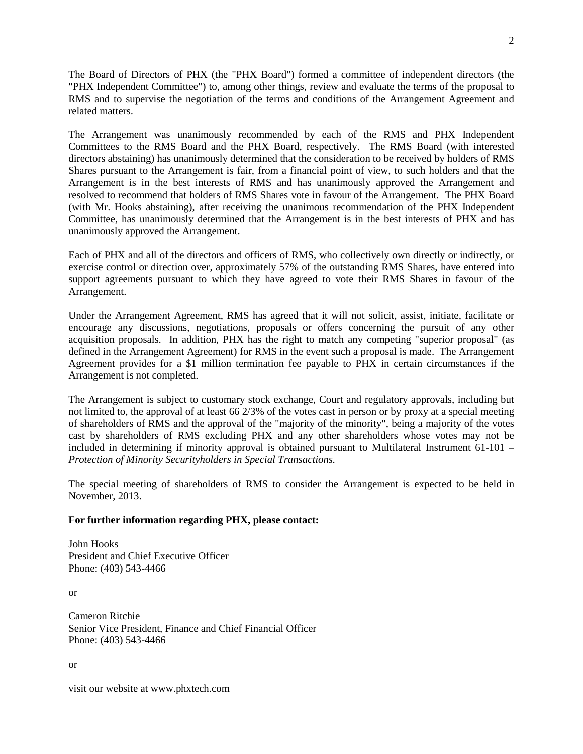The Board of Directors of PHX (the "PHX Board") formed a committee of independent directors (the "PHX Independent Committee") to, among other things, review and evaluate the terms of the proposal to RMS and to supervise the negotiation of the terms and conditions of the Arrangement Agreement and related matters.

The Arrangement was unanimously recommended by each of the RMS and PHX Independent Committees to the RMS Board and the PHX Board, respectively. The RMS Board (with interested directors abstaining) has unanimously determined that the consideration to be received by holders of RMS Shares pursuant to the Arrangement is fair, from a financial point of view, to such holders and that the Arrangement is in the best interests of RMS and has unanimously approved the Arrangement and resolved to recommend that holders of RMS Shares vote in favour of the Arrangement. The PHX Board (with Mr. Hooks abstaining), after receiving the unanimous recommendation of the PHX Independent Committee, has unanimously determined that the Arrangement is in the best interests of PHX and has unanimously approved the Arrangement.

Each of PHX and all of the directors and officers of RMS, who collectively own directly or indirectly, or exercise control or direction over, approximately 57% of the outstanding RMS Shares, have entered into support agreements pursuant to which they have agreed to vote their RMS Shares in favour of the Arrangement.

Under the Arrangement Agreement, RMS has agreed that it will not solicit, assist, initiate, facilitate or encourage any discussions, negotiations, proposals or offers concerning the pursuit of any other acquisition proposals. In addition, PHX has the right to match any competing "superior proposal" (as defined in the Arrangement Agreement) for RMS in the event such a proposal is made. The Arrangement Agreement provides for a \$1 million termination fee payable to PHX in certain circumstances if the Arrangement is not completed.

The Arrangement is subject to customary stock exchange, Court and regulatory approvals, including but not limited to, the approval of at least 66 2/3% of the votes cast in person or by proxy at a special meeting of shareholders of RMS and the approval of the "majority of the minority", being a majority of the votes cast by shareholders of RMS excluding PHX and any other shareholders whose votes may not be included in determining if minority approval is obtained pursuant to Multilateral Instrument 61-101 – *Protection of Minority Securityholders in Special Transactions.* 

The special meeting of shareholders of RMS to consider the Arrangement is expected to be held in November, 2013.

## **For further information regarding PHX, please contact:**

John Hooks President and Chief Executive Officer Phone: (403) 543-4466

or

Cameron Ritchie Senior Vice President, Finance and Chief Financial Officer Phone: (403) 543-4466

or

visit our website at www.phxtech.com